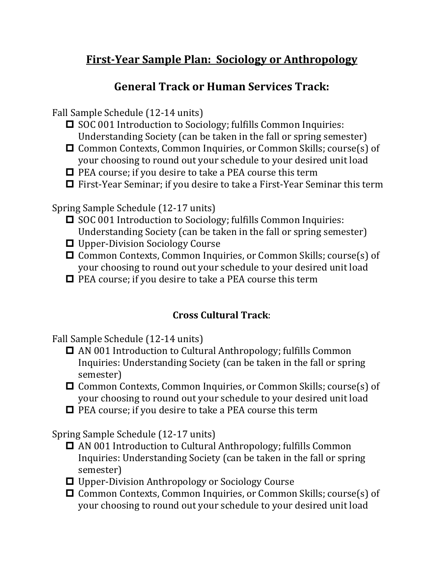## **First-Year Sample Plan: Sociology or Anthropology**

## **General Track or Human Services Track:**

Fall Sample Schedule (12-14 units)

- SOC 001 Introduction to Sociology; fulfills Common Inquiries: Understanding Society (can be taken in the fall or spring semester)
- Common Contexts, Common Inquiries, or Common Skills; course(s) of your choosing to round out your schedule to your desired unit load
- $\Box$  PEA course; if you desire to take a PEA course this term
- □ First-Year Seminar; if you desire to take a First-Year Seminar this term

Spring Sample Schedule (12-17 units)

- SOC 001 Introduction to Sociology; fulfills Common Inquiries: Understanding Society (can be taken in the fall or spring semester)
- □ Upper-Division Sociology Course
- Common Contexts, Common Inquiries, or Common Skills; course(s) of your choosing to round out your schedule to your desired unit load
- $\Box$  PEA course; if you desire to take a PEA course this term

## **Cross Cultural Track**:

Fall Sample Schedule (12-14 units)

- □ AN 001 Introduction to Cultural Anthropology; fulfills Common Inquiries: Understanding Society (can be taken in the fall or spring semester)
- Common Contexts, Common Inquiries, or Common Skills; course(s) of your choosing to round out your schedule to your desired unit load
- $\Box$  PEA course; if you desire to take a PEA course this term

Spring Sample Schedule (12-17 units)

- AN 001 Introduction to Cultural Anthropology; fulfills Common Inquiries: Understanding Society (can be taken in the fall or spring semester)
- Upper-Division Anthropology or Sociology Course
- Common Contexts, Common Inquiries, or Common Skills; course(s) of your choosing to round out your schedule to your desired unit load